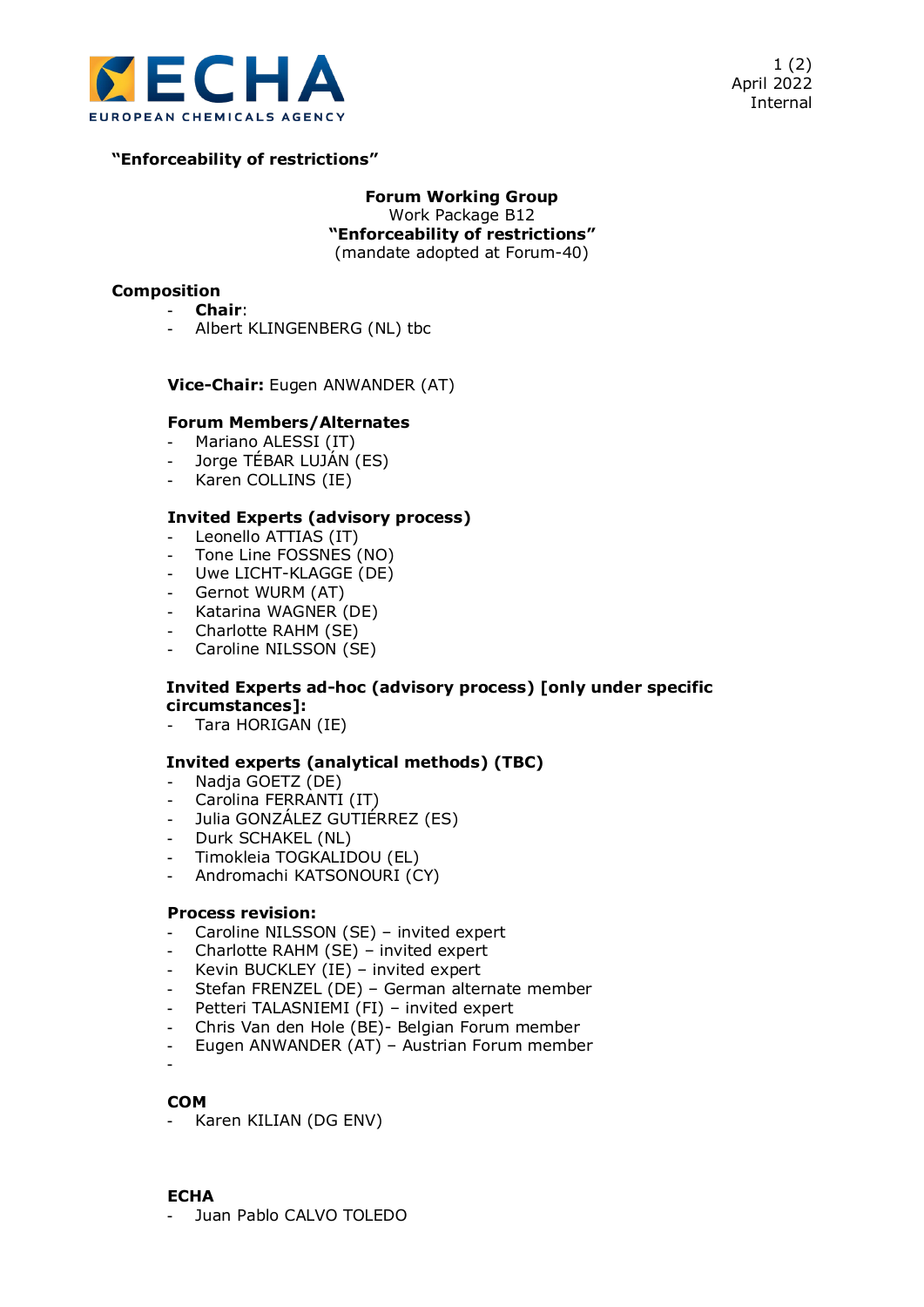

 1 (2) April 2022 Internal

# **"Enforceability of restrictions"**

**Forum Working Group** Work Package B12 **"Enforceability of restrictions"** (mandate adopted at Forum-40)

### **Composition**

- **Chair**:
- Albert KLINGENBERG (NL) tbc

**Vice-Chair:** Eugen ANWANDER (AT)

#### **Forum Members/Alternates**

- Mariano ALESSI (IT)
- Jorge TÉBAR LUJÁN (ES)
- Karen COLLINS (IE)

#### **Invited Experts (advisory process)**

- Leonello ATTIAS (IT)
- Tone Line FOSSNES (NO)
- Uwe LICHT-KLAGGE (DE)
- Gernot WURM (AT)
- Katarina WAGNER (DE)
- Charlotte RAHM (SE)
- Caroline NILSSON (SE)

#### **Invited Experts ad-hoc (advisory process) [only under specific circumstances]:**

- Tara HORIGAN (IE)

### **Invited experts (analytical methods) (TBC)**

- Nadja GOETZ (DE)
- Carolina FERRANTI (IT)
- Julia GONZÁLEZ GUTIÉRREZ (ES)
- Durk SCHAKEL (NL)
- Timokleia TOGKALIDOU (EL)
- Andromachi KATSONOURI (CY)

#### **Process revision:**

- Caroline NILSSON (SE) invited expert
- Charlotte RAHM (SE) invited expert
- Kevin BUCKLEY (IE) invited expert
- Stefan FRENZEL (DE) German alternate member
- Petteri TALASNIEMI (FI) invited expert
- Chris Van den Hole (BE)- Belgian Forum member
- Eugen ANWANDER (AT) Austrian Forum member
- -

### **COM**

Karen KILIAN (DG ENV)

### **ECHA**

Juan Pablo CALVO TOLEDO